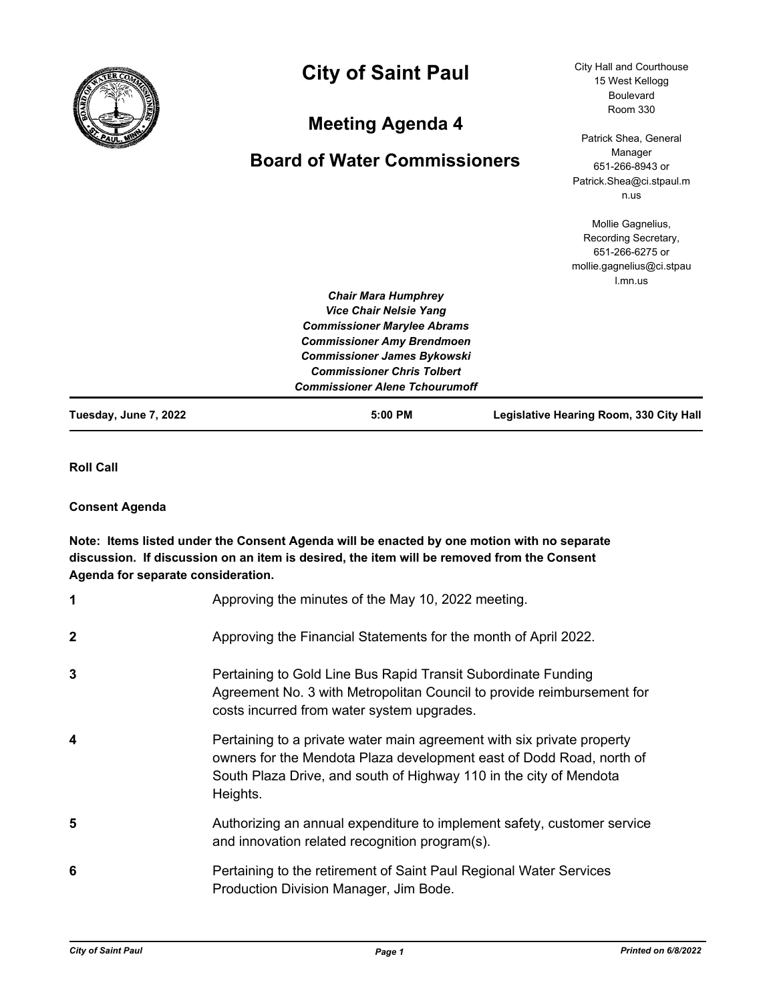

# **City of Saint Paul**

## **Meeting Agenda 4**

## **Board of Water Commissioners**

City Hall and Courthouse 15 West Kellogg Boulevard Room 330

Patrick Shea, General Manager 651-266-8943 or Patrick.Shea@ci.stpaul.m n.us

Mollie Gagnelius, Recording Secretary, 651-266-6275 or mollie.gagnelius@ci.stpau l.mn.us

| Tuesday, June 7, 2022 | $5:00$ PM                             | Legislative Hearing Room, 330 City Hall |
|-----------------------|---------------------------------------|-----------------------------------------|
|                       | <b>Commissioner Alene Tchourumoff</b> |                                         |
|                       | <b>Commissioner Chris Tolbert</b>     |                                         |
|                       | <b>Commissioner James Bykowski</b>    |                                         |
|                       | <b>Commissioner Amy Brendmoen</b>     |                                         |
|                       | <b>Commissioner Marylee Abrams</b>    |                                         |
|                       | <b>Vice Chair Nelsie Yang</b>         |                                         |
|                       | <b>Chair Mara Humphrey</b>            |                                         |

**Roll Call**

### **Consent Agenda**

### **Note: Items listed under the Consent Agenda will be enacted by one motion with no separate discussion. If discussion on an item is desired, the item will be removed from the Consent Agenda for separate consideration.**

| 1           | Approving the minutes of the May 10, 2022 meeting.                                                                                                                                                                               |
|-------------|----------------------------------------------------------------------------------------------------------------------------------------------------------------------------------------------------------------------------------|
| $\mathbf 2$ | Approving the Financial Statements for the month of April 2022.                                                                                                                                                                  |
| 3           | Pertaining to Gold Line Bus Rapid Transit Subordinate Funding<br>Agreement No. 3 with Metropolitan Council to provide reimbursement for<br>costs incurred from water system upgrades.                                            |
| 4           | Pertaining to a private water main agreement with six private property<br>owners for the Mendota Plaza development east of Dodd Road, north of<br>South Plaza Drive, and south of Highway 110 in the city of Mendota<br>Heights. |
| 5           | Authorizing an annual expenditure to implement safety, customer service<br>and innovation related recognition program(s).                                                                                                        |
| 6           | Pertaining to the retirement of Saint Paul Regional Water Services<br>Production Division Manager, Jim Bode.                                                                                                                     |